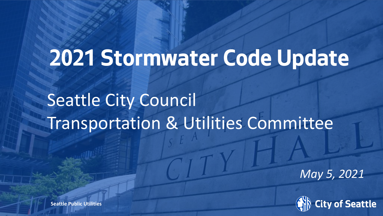# **2021 Stormwater Code Update**

## Seattle City Council Transportation & Utilities Committee

*May 5, 2021*



**Seattle Public Utilities**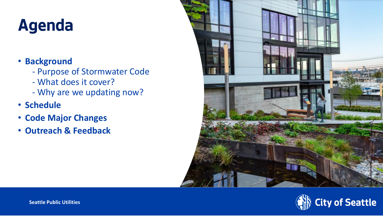## **Agenda**

#### • **Background**

- Purpose of Stormwater Code
- What does it cover?
- Why are we updating now?
- **Schedule**
- **Code Major Changes**
- **Outreach & Feedback**



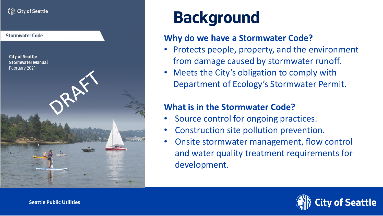#### $\bigcap_{i=1}^{\infty}$  City of Seattle



### **Background**

#### **Why do we have a Stormwater Code?**

- Protects people, property, and the environment from damage caused by stormwater runoff.
- Meets the City's obligation to comply with Department of Ecology's Stormwater Permit.

#### **What is in the Stormwater Code?**

- Source control for ongoing practices.
- Construction site pollution prevention.
- Onsite stormwater management, flow control and water quality treatment requirements for development.

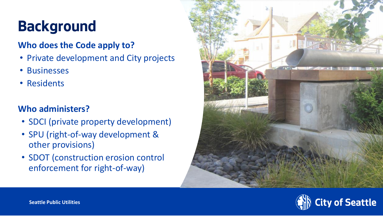### **Background**

#### **Who does the Code apply to?**

- Private development and City projects
- Businesses
- Residents

#### **Who administers?**

- SDCI (private property development)
- SPU (right-of-way development & other provisions)
- SDOT (construction erosion control enforcement for right-of-way)



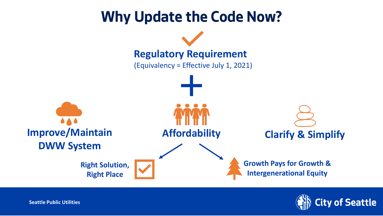



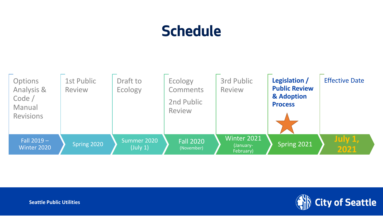### **Schedule**





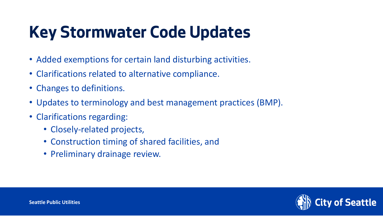## **Key Stormwater Code Updates**

- Added exemptions for certain land disturbing activities.
- Clarifications related to alternative compliance.
- Changes to definitions.
- Updates to terminology and best management practices (BMP).
- Clarifications regarding:
	- Closely-related projects,
	- Construction timing of shared facilities, and
	- Preliminary drainage review.

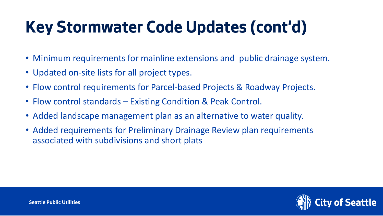## **Key Stormwater Code Updates (cont'd)**

- Minimum requirements for mainline extensions and public drainage system.
- Updated on-site lists for all project types.
- Flow control requirements for Parcel-based Projects & Roadway Projects.
- Flow control standards Existing Condition & Peak Control.
- Added landscape management plan as an alternative to water quality.
- Added requirements for Preliminary Drainage Review plan requirements associated with subdivisions and short plats

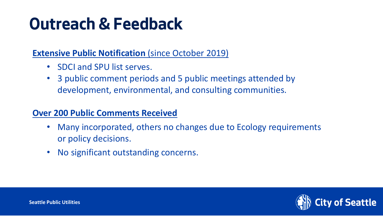### **Outreach & Feedback**

#### **Extensive Public Notification (since October 2019)**

- SDCI and SPU list serves.
- 3 public comment periods and 5 public meetings attended by development, environmental, and consulting communities.

#### **Over 200 Public Comments Received**

- Many incorporated, others no changes due to Ecology requirements or policy decisions.
- No significant outstanding concerns.